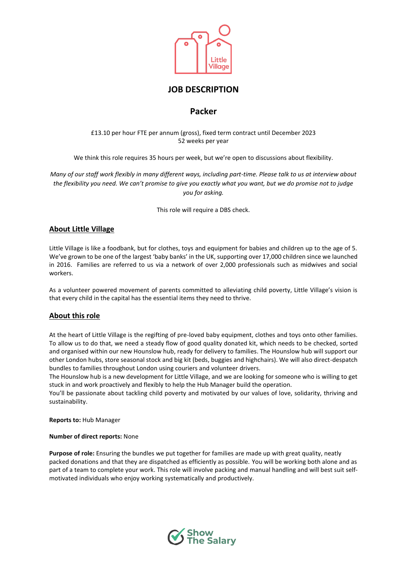

# **JOB DESCRIPTION**

# **Packer**

## £13.10 per hour FTE per annum (gross), fixed term contract until December 2023 52 weeks per year

We think this role requires 35 hours per week, but we're open to discussions about flexibility.

*Many of our staff work flexibly in many different ways, including part-time. Please talk to us at interview about the flexibility you need. We can't promise to give you exactly what you want, but we do promise not to judge you for asking.* 

This role will require a DBS check.

## **About Little Village**

Little Village is like a foodbank, but for clothes, toys and equipment for babies and children up to the age of 5. We've grown to be one of the largest 'baby banks' in the UK, supporting over 17,000 children since we launched in 2016. Families are referred to us via a network of over 2,000 professionals such as midwives and social workers.

As a volunteer powered movement of parents committed to alleviating child poverty, Little Village's vision is that every child in the capital has the essential items they need to thrive.

## **About this role**

At the heart of Little Village is the regifting of pre-loved baby equipment, clothes and toys onto other families. To allow us to do that, we need a steady flow of good quality donated kit, which needs to be checked, sorted and organised within our new Hounslow hub, ready for delivery to families. The Hounslow hub will support our other London hubs, store seasonal stock and big kit (beds, buggies and highchairs). We will also direct-despatch bundles to families throughout London using couriers and volunteer drivers.

The Hounslow hub is a new development for Little Village, and we are looking for someone who is willing to get stuck in and work proactively and flexibly to help the Hub Manager build the operation.

You'll be passionate about tackling child poverty and motivated by our values of love, solidarity, thriving and sustainability.

**Reports to:** Hub Manager

#### **Number of direct reports:** None

**Purpose of role:** Ensuring the bundles we put together for families are made up with great quality, neatly packed donations and that they are dispatched as efficiently as possible. You will be working both alone and as part of a team to complete your work. This role will involve packing and manual handling and will best suit selfmotivated individuals who enjoy working systematically and productively.

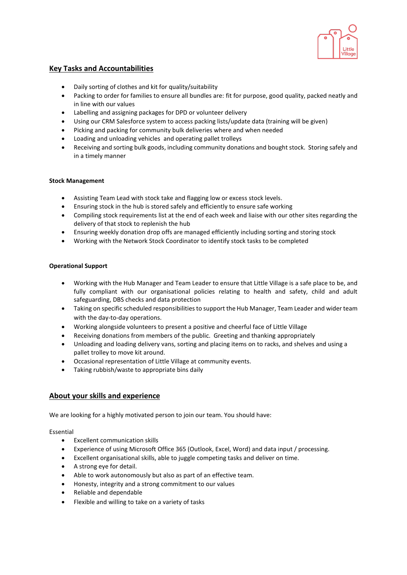

## **Key Tasks and Accountabilities**

- Daily sorting of clothes and kit for quality/suitability
- Packing to order for families to ensure all bundles are: fit for purpose, good quality, packed neatly and in line with our values
- Labelling and assigning packages for DPD or volunteer delivery
- Using our CRM Salesforce system to access packing lists/update data (training will be given)
- Picking and packing for community bulk deliveries where and when needed
- Loading and unloading vehicles and operating pallet trolleys
- Receiving and sorting bulk goods, including community donations and bought stock. Storing safely and in a timely manner

## **Stock Management**

- Assisting Team Lead with stock take and flagging low or excess stock levels.
- Ensuring stock in the hub is stored safely and efficiently to ensure safe working
- Compiling stock requirements list at the end of each week and liaise with our other sites regarding the delivery of that stock to replenish the hub
- Ensuring weekly donation drop offs are managed efficiently including sorting and storing stock
- Working with the Network Stock Coordinator to identify stock tasks to be completed

#### **Operational Support**

- Working with the Hub Manager and Team Leader to ensure that Little Village is a safe place to be, and fully compliant with our organisational policies relating to health and safety, child and adult safeguarding, DBS checks and data protection
- Taking on specific scheduled responsibilities to support the Hub Manager, Team Leader and wider team with the day-to-day operations.
- Working alongside volunteers to present a positive and cheerful face of Little Village
- Receiving donations from members of the public. Greeting and thanking appropriately
- Unloading and loading delivery vans, sorting and placing items on to racks, and shelves and using a pallet trolley to move kit around.
- Occasional representation of Little Village at community events.
- Taking rubbish/waste to appropriate bins daily

## **About your skills and experience**

We are looking for a highly motivated person to join our team. You should have:

Essential

- Excellent communication skills
- Experience of using Microsoft Office 365 (Outlook, Excel, Word) and data input / processing.
- Excellent organisational skills, able to juggle competing tasks and deliver on time.
- A strong eye for detail.
- Able to work autonomously but also as part of an effective team.
- Honesty, integrity and a strong commitment to our values
- Reliable and dependable
- Flexible and willing to take on a variety of tasks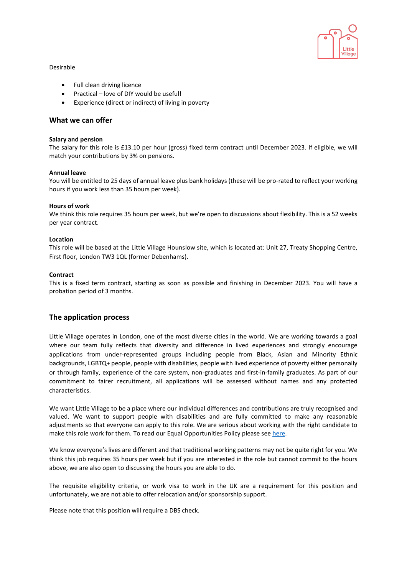

## Desirable

- Full clean driving licence
- Practical love of DIY would be useful!
- Experience (direct or indirect) of living in poverty

## **What we can offer**

#### **Salary and pension**

The salary for this role is £13.10 per hour (gross) fixed term contract until December 2023. If eligible, we will match your contributions by 3% on pensions.

#### **Annual leave**

You will be entitled to 25 days of annual leave plus bank holidays (these will be pro-rated to reflect your working hours if you work less than 35 hours per week).

#### **Hours of work**

We think this role requires 35 hours per week, but we're open to discussions about flexibility. This is a 52 weeks per year contract.

#### **Location**

This role will be based at the Little Village Hounslow site, which is located at: Unit 27, Treaty Shopping Centre, First floor, London TW3 1QL (former Debenhams).

#### **Contract**

This is a fixed term contract, starting as soon as possible and finishing in December 2023. You will have a probation period of 3 months.

## **The application process**

Little Village operates in London, one of the most diverse cities in the world. We are working towards a goal where our team fully reflects that diversity and difference in lived experiences and strongly encourage applications from under-represented groups including people from Black, Asian and Minority Ethnic backgrounds, LGBTQ+ people, people with disabilities, people with lived experience of poverty either personally or through family, experience of the care system, non-graduates and first-in-family graduates. As part of our commitment to fairer recruitment, all applications will be assessed without names and any protected characteristics.

We want Little Village to be a place where our individual differences and contributions are truly recognised and valued. We want to support people with disabilities and are fully committed to make any reasonable adjustments so that everyone can apply to this role. We are serious about working with the right candidate to make this role work for them. To read our Equal Opportunities Policy please se[e here.](https://wp.littlevillagehq.org/wp-content/uploads/2021/06/Little_Village.Equal_Opportunities.March_2021.FINAL-Copy.pdf)

We know everyone's lives are different and that traditional working patterns may not be quite right for you. We think this job requires 35 hours per week but if you are interested in the role but cannot commit to the hours above, we are also open to discussing the hours you are able to do.

The requisite eligibility criteria, or work visa to work in the UK are a requirement for this position and unfortunately, we are not able to offer relocation and/or sponsorship support.

Please note that this position will require a DBS check.